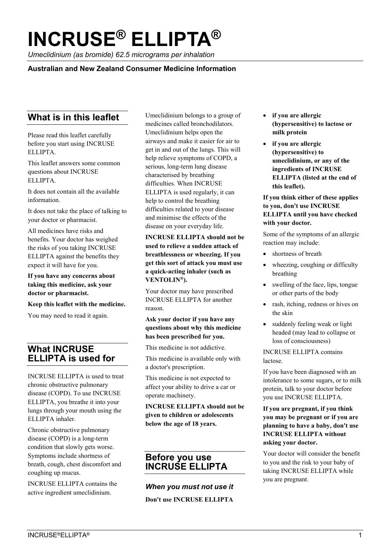# **INCRUSE® ELLIPTA ®**

*Umeclidinium (as bromide) 62.5 micrograms per inhalation*

**Australian and New Zealand Consumer Medicine Information**

# **What is in this leaflet**

Please read this leaflet carefully before you start using INCRUSE ELLIPTA.

This leaflet answers some common questions about INCRUSE ELLIPTA.

It does not contain all the available information.

It does not take the place of talking to your doctor or pharmacist.

All medicines have risks and benefits. Your doctor has weighed the risks of you taking INCRUSE ELLIPTA against the benefits they expect it will have for you.

**If you have any concerns about taking this medicine, ask your doctor or pharmacist.** 

**Keep this leaflet with the medicine.** 

You may need to read it again.

# **What INCRUSE ELLIPTA is used for**

INCRUSE ELLIPTA is used to treat chronic obstructive pulmonary disease (COPD). To use INCRUSE ELLIPTA, you breathe it into your lungs through your mouth using the ELLIPTA inhaler.

Chronic obstructive pulmonary disease (COPD) is a long-term condition that slowly gets worse. Symptoms include shortness of breath, cough, chest discomfort and coughing up mucus.

INCRUSE ELLIPTA contains the active ingredient umeclidinium.

Umeclidinium belongs to a group of medicines called bronchodilators. Umeclidinium helps open the airways and make it easier for air to get in and out of the lungs. This will help relieve symptoms of COPD, a serious, long-term lung disease characterised by breathing difficulties. When INCRUSE ELLIPTA is used regularly, it can help to control the breathing difficulties related to your disease and minimise the effects of the disease on your everyday life.

**INCRUSE ELLIPTA should not be used to relieve a sudden attack of breathlessness or wheezing. If you get this sort of attack you must use a quick-acting inhaler (such as VENTOLIN®).**

Your doctor may have prescribed INCRUSE ELLIPTA for another reason.

**Ask your doctor if you have any questions about why this medicine has been prescribed for you.** 

This medicine is not addictive.

This medicine is available only with a doctor's prescription.

This medicine is not expected to affect your ability to drive a car or operate machinery.

**INCRUSE ELLIPTA should not be given to children or adolescents below the age of 18 years.**

## **Before you use INCRUSE ELLIPTA**

*When you must not use it*  **Don't use INCRUSE ELLIPTA**

- **if you are allergic (hypersensitive) to lactose or milk protein**
- **if you are allergic (hypersensitive) to umeclidinium, or any of the ingredients of INCRUSE ELLIPTA (listed at the end of this leaflet).**

**If you think either of these applies to you, don't use INCRUSE ELLIPTA until you have checked with your doctor.**

Some of the symptoms of an allergic reaction may include:

- shortness of breath
- wheezing, coughing or difficulty breathing
- swelling of the face, lips, tongue or other parts of the body
- rash, itching, redness or hives on the skin
- suddenly feeling weak or light headed (may lead to collapse or loss of consciousness)

INCRUSE ELLIPTA contains lactose.

If you have been diagnosed with an intolerance to some sugars, or to milk protein, talk to your doctor before you use INCRUSE ELLIPTA.

#### **If you are pregnant, if you think you may be pregnant or if you are planning to have a baby, don't use INCRUSE ELLIPTA without asking your doctor.**

Your doctor will consider the benefit to you and the risk to your baby of taking INCRUSE ELLIPTA while you are pregnant.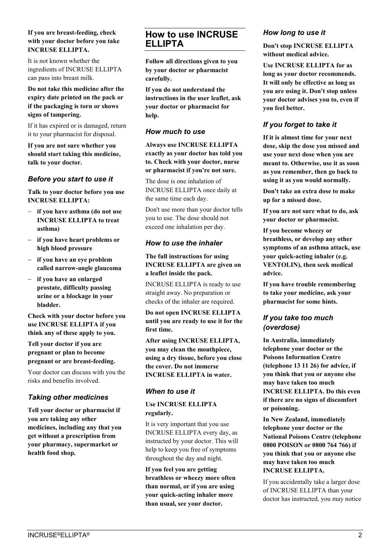#### **If you are breast-feeding, check with your doctor before you take INCRUSE ELLIPTA.**

It is not known whether the ingredients of INCRUSE ELLIPTA can pass into breast milk.

**Do not take this medicine after the expiry date printed on the pack or if the packaging is torn or shows signs of tampering.** 

If it has expired or is damaged, return it to your pharmacist for disposal.

**If you are not sure whether you should start taking this medicine, talk to your doctor.** 

#### *Before you start to use it*

**Talk to your doctor before you use INCRUSE ELLIPTA:**

- **if you have asthma (do not use INCRUSE ELLIPTA to treat asthma)**
- **if you have heart problems or high blood pressure**
- **if you have an eye problem called narrow-angle glaucoma**
- **if you have an enlarged prostate, difficulty passing urine or a blockage in your bladder.**

**Check with your doctor before you use INCRUSE ELLIPTA if you think any of these apply to you.** 

**Tell your doctor if you are pregnant or plan to become pregnant or are breast-feeding.** 

Your doctor can discuss with you the risks and benefits involved.

## *Taking other medicines*

**Tell your doctor or pharmacist if you are taking any other medicines, including any that you get without a prescription from your pharmacy, supermarket or health food shop.** 

## **How to use INCRUSE ELLIPTA**

**Follow all directions given to you by your doctor or pharmacist carefully.** 

**If you do not understand the instructions in the user leaflet, ask your doctor or pharmacist for help.** 

#### *How much to use*

**Always use INCRUSE ELLIPTA exactly as your doctor has told you to. Check with your doctor, nurse or pharmacist if you're not sure.**

The dose is one inhalation of INCRUSE ELLIPTA once daily at the same time each day.

Don't use more than your doctor tells you to use. The dose should not exceed one inhalation per day.

## *How to use the inhaler*

#### **The full instructions for using INCRUSE ELLIPTA are given on a leaflet inside the pack.**

INCRUSE ELLIPTA is ready to use straight away. No preparation or checks of the inhaler are required.

**Do not open INCRUSE ELLIPTA until you are ready to use it for the first time.**

**After using INCRUSE ELLIPTA, you may clean the mouthpiece, using a dry tissue, before you close the cover. Do not immerse INCRUSE ELLIPTA in water.**

#### *When to use it*

#### **Use INCRUSE ELLIPTA regularly.**

It is very important that you use INCRUSE ELLIPTA every day, as instructed by your doctor. This will help to keep you free of symptoms throughout the day and night.

**If you feel you are getting breathless or wheezy more often than normal, or if you are using your quick-acting inhaler more than usual, see your doctor.**

## *How long to use it*

**Don't stop INCRUSE ELLIPTA without medical advice.**

**Use INCRUSE ELLIPTA for as long as your doctor recommends. It will only be effective as long as you are using it. Don't stop unless your doctor advises you to, even if you feel better.**

## *If you forget to take it*

**If it is almost time for your next dose, skip the dose you missed and use your next dose when you are meant to. Otherwise, use it as soon as you remember, then go back to using it as you would normally.**

**Don't take an extra dose to make up for a missed dose.** 

**If you are not sure what to do, ask your doctor or pharmacist.** 

**If you become wheezy or breathless, or develop any other symptoms of an asthma attack, use your quick-acting inhaler (e.g. VENTOLIN), then seek medical advice.** 

**If you have trouble remembering to take your medicine, ask your pharmacist for some hints.** 

## *If you take too much (overdose)*

**In Australia, immediately telephone your doctor or the Poisons Information Centre (telephone 13 11 26) for advice, if you think that you or anyone else may have taken too much INCRUSE ELLIPTA. Do this even if there are no signs of discomfort or poisoning.** 

**In New Zealand, immediately telephone your doctor or the National Poisons Centre (telephone 0800 POISON or 0800 764 766) if you think that you or anyone else may have taken too much INCRUSE ELLIPTA.** 

If you accidentally take a larger dose of INCRUSE ELLIPTA than your doctor has instructed, you may notice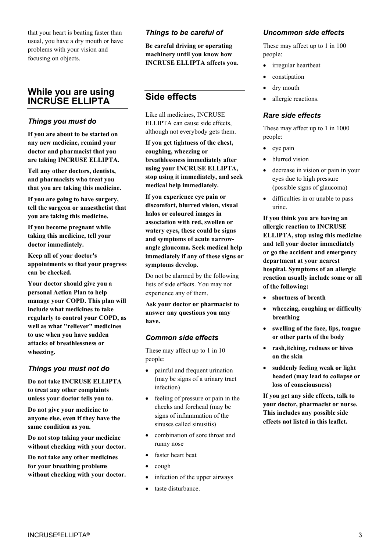that your heart is beating faster than usual, you have a dry mouth or have problems with your vision and focusing on objects.

## **While you are using INCRUSE ELLIPTA**

## *Things you must do*

**If you are about to be started on any new medicine, remind your doctor and pharmacist that you are taking INCRUSE ELLIPTA.** 

**Tell any other doctors, dentists, and pharmacists who treat you that you are taking this medicine.** 

**If you are going to have surgery, tell the surgeon or anaesthetist that you are taking this medicine.** 

**If you become pregnant while taking this medicine, tell your doctor immediately.** 

**Keep all of your doctor's appointments so that your progress can be checked.** 

**Your doctor should give you a personal Action Plan to help manage your COPD. This plan will include what medicines to take regularly to control your COPD, as well as what "reliever" medicines to use when you have sudden attacks of breathlessness or wheezing.**

## *Things you must not do*

**Do not take INCRUSE ELLIPTA to treat any other complaints unless your doctor tells you to.** 

**Do not give your medicine to anyone else, even if they have the same condition as you.** 

**Do not stop taking your medicine without checking with your doctor.** 

**Do not take any other medicines for your breathing problems without checking with your doctor.**

## *Things to be careful of*

**Be careful driving or operating machinery until you know how INCRUSE ELLIPTA affects you.** 

# **Side effects**

Like all medicines, INCRUSE ELLIPTA can cause side effects, although not everybody gets them.

**If you get tightness of the chest, coughing, wheezing or breathlessness immediately after using your INCRUSE ELLIPTA, stop using it immediately, and seek medical help immediately.**

**If you experience eye pain or discomfort, blurred vision, visual halos or coloured images in association with red, swollen or watery eyes, these could be signs and symptoms of acute narrowangle glaucoma. Seek medical help immediately if any of these signs or symptoms develop.**

Do not be alarmed by the following lists of side effects. You may not experience any of them.

**Ask your doctor or pharmacist to answer any questions you may have.** 

## *Common side effects*

These may affect up to 1 in 10 people:

- painful and frequent urination (may be signs of a urinary tract infection)
- feeling of pressure or pain in the cheeks and forehead (may be signs of inflammation of the sinuses called sinusitis)
- combination of sore throat and runny nose
- faster heart beat
- cough
- infection of the upper airways
- taste disturbance.

## *Uncommon side effects*

These may affect up to 1 in 100 people:

- irregular heartbeat
- constipation
- dry mouth
- allergic reactions.

#### *Rare side effects*

These may affect up to 1 in 1000 people:

- $\bullet$  eye pain
- blurred vision
- decrease in vision or pain in your eyes due to high pressure (possible signs of glaucoma)
- difficulties in or unable to pass urine.

**If you think you are having an allergic reaction to INCRUSE ELLIPTA, stop using this medicine and tell your doctor immediately or go the accident and emergency department at your nearest hospital. Symptoms of an allergic reaction usually include some or all of the following:**

- **shortness of breath**
- **wheezing, coughing or difficulty breathing**
- **swelling of the face, lips, tongue or other parts of the body**
- **rash,itching, redness or hives on the skin**
- **suddenly feeling weak or light headed (may lead to collapse or loss of consciousness)**

**If you get any side effects, talk to your doctor, pharmacist or nurse. This includes any possible side effects not listed in this leaflet.**